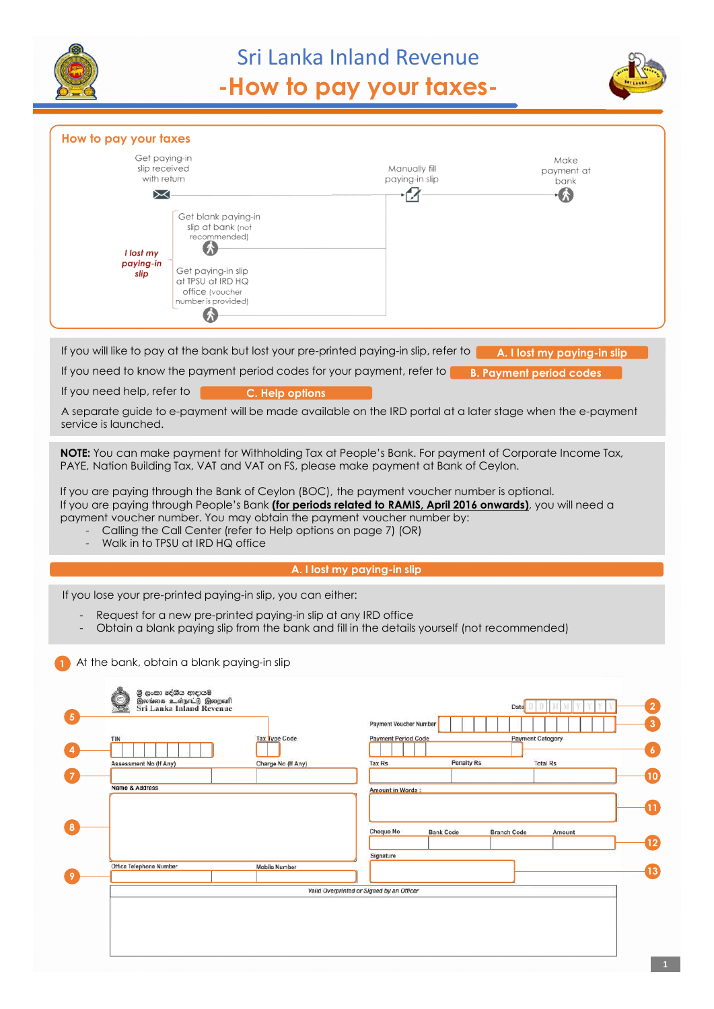

# Sri Lanka Inland Revenue **-How to pay your taxes-**



| How to pay your taxes                               |                                                                                                                                |                                                                                                                                                                                                                                                                                                    |                                            |
|-----------------------------------------------------|--------------------------------------------------------------------------------------------------------------------------------|----------------------------------------------------------------------------------------------------------------------------------------------------------------------------------------------------------------------------------------------------------------------------------------------------|--------------------------------------------|
|                                                     | Get paying-in                                                                                                                  |                                                                                                                                                                                                                                                                                                    | Make                                       |
|                                                     | slip received<br>with return                                                                                                   | Manually fill<br>paying-in slip                                                                                                                                                                                                                                                                    | payment at<br>bank                         |
| ↣                                                   |                                                                                                                                | M                                                                                                                                                                                                                                                                                                  | - 49                                       |
| I lost my<br>paying-in<br>slip                      | Get blank paying-in<br>slip at bank (not<br>recommended)<br>Get paying-in slip<br>at TPSU at IRD HQ                            |                                                                                                                                                                                                                                                                                                    |                                            |
|                                                     | office (voucher<br>number is provided)                                                                                         |                                                                                                                                                                                                                                                                                                    |                                            |
|                                                     |                                                                                                                                |                                                                                                                                                                                                                                                                                                    |                                            |
| If you need help, refer to<br>service is launched.  | C. Help options                                                                                                                | A separate guide to e-payment will be made available on the IRD portal at a later stage when the e-payment<br>NOTE: You can make payment for Withholding Tax at People's Bank. For payment of Corporate Income Tax,                                                                                |                                            |
|                                                     |                                                                                                                                | PAYE, Nation Building Tax, VAT and VAT on FS, please make payment at Bank of Ceylon.<br>If you are paying through the Bank of Ceylon (BOC), the payment voucher number is optional.<br>If you are paying through People's Bank (for periods related to RAMIS, April 2016 onwards), you will need a |                                            |
|                                                     | Calling the Call Center (refer to Help options on page 7) (OR)<br>Walk in to TPSU at IRD HQ office                             | payment voucher number. You may obtain the payment voucher number by:                                                                                                                                                                                                                              |                                            |
|                                                     |                                                                                                                                | A. I lost my paying-in slip                                                                                                                                                                                                                                                                        |                                            |
|                                                     | If you lose your pre-printed paying-in slip, you can either:<br>Request for a new pre-printed paying-in slip at any IRD office | Obtain a blank paying slip from the bank and fill in the details yourself (not recommended)                                                                                                                                                                                                        |                                            |
|                                                     | At the bank, obtain a blank paying-in slip                                                                                     |                                                                                                                                                                                                                                                                                                    |                                            |
| TIN                                                 | ලී ලංකා දේශීය ආදායම්<br>இலங்கை உள்நாட்டு இறைவரி<br><b>Sri Lanka Inland Revenue</b><br><b>Tax Type Code</b>                     | Payment Voucher Number<br><b>Payment Period Code</b>                                                                                                                                                                                                                                               | Date                                       |
| Assessment No (If Any)<br><b>Name &amp; Address</b> | Charge No (If Any)                                                                                                             | <b>Penalty Rs</b><br><b>Tax Rs</b><br>Amount in Words:                                                                                                                                                                                                                                             | <b>Payment Catogory</b><br><b>Total Rs</b> |
|                                                     |                                                                                                                                | <b>Cheque No</b><br><b>Bank Code</b>                                                                                                                                                                                                                                                               | <b>Branch Code</b><br>Amount               |
| Office Telephone Number                             | <b>Mobile Number</b>                                                                                                           | Signature                                                                                                                                                                                                                                                                                          |                                            |
|                                                     |                                                                                                                                | Valid Overprinted or Signed by an Officer                                                                                                                                                                                                                                                          |                                            |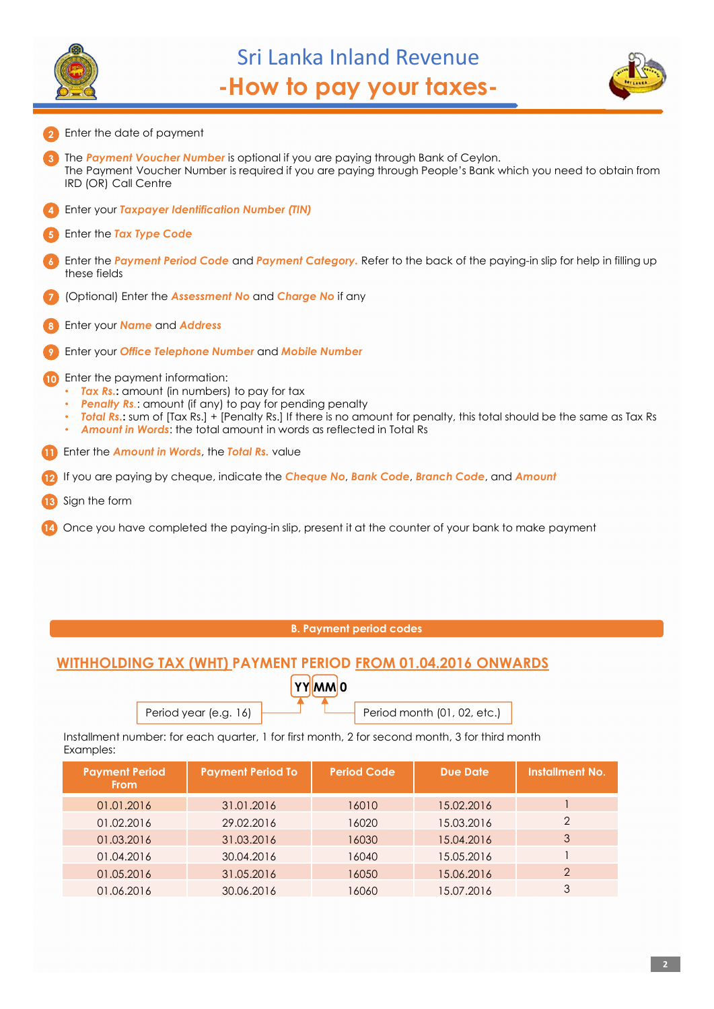



- **3** The *Payment Voucher Number* is optional if you are paying through Bank of Ceylon. The Payment Voucher Number is required if you are paying through People's Bank which you need to obtain from IRD (OR) Call Centre **4** Enter your *Taxpayer Identification Number (TIN)* **6** Enter the *Payment Period Code* and *Payment Category.* Refer to the back of the paying-in slip for help in filling up these fields **7** (Optional) Enter the *Assessment No* and *Charge No* if any **8** Enter your *Name* and *Address* **10** Enter the payment information: • **Tax Rs.:** amount (in numbers) to pay for tax **Penalty Rs**.: amount (if any) to pay for pending penalty • *Total Rs.***:** sum of [Tax Rs.] + [Penalty Rs.] If there is no amount for penalty, this total should be the same as Tax Rs • *Amount in Words*: the total amount in words as reflected in Total Rs **12** If you are paying by cheque, indicate the *Cheque No*, *Bank Code*, *Branch Code*, and *Amount* **13** Sign the form **2** Enter the date of payment **5** Enter the *Tax Type Code* **9** Enter your *Office Telephone Number* and *Mobile Number* **11** Enter the *Amount in Words*, the *Total Rs.* value
- **14** Once you have completed the paying-in slip, present it at the counter of your bank to make payment

#### **B. Payment period codes**

### **WITHHOLDING TAX (WHT) PAYMENT PERIOD FROM 01.04.2016 ONWARDS**

|                       | <b>YYMM0</b> |                             |
|-----------------------|--------------|-----------------------------|
| Period year (e.g. 16) |              | Period month (01, 02, etc.) |

Installment number: for each quarter, 1 for first month, 2 for second month, 3 for third month Examples:

| <b>Payment Period</b><br><b>From</b> | <b>Payment Period To</b> | <b>Period Code</b> | <b>Due Date</b> | <b>Installment No.</b> |
|--------------------------------------|--------------------------|--------------------|-----------------|------------------------|
| 01.01.2016                           | 31.01.2016               | 16010              | 15.02.2016      |                        |
| 01.02.2016                           | 29.02.2016               | 16020              | 15.03.2016      | 2                      |
| 01.03.2016                           | 31.03.2016               | 16030              | 15.04.2016      | 3                      |
| 01.04.2016                           | 30.04.2016               | 16040              | 15.05.2016      |                        |
| 01.05.2016                           | 31.05.2016               | 16050              | 15.06.2016      | $\overline{2}$         |
| 01.06.2016                           | 30.06.2016               | 16060              | 15.07.2016      | 3                      |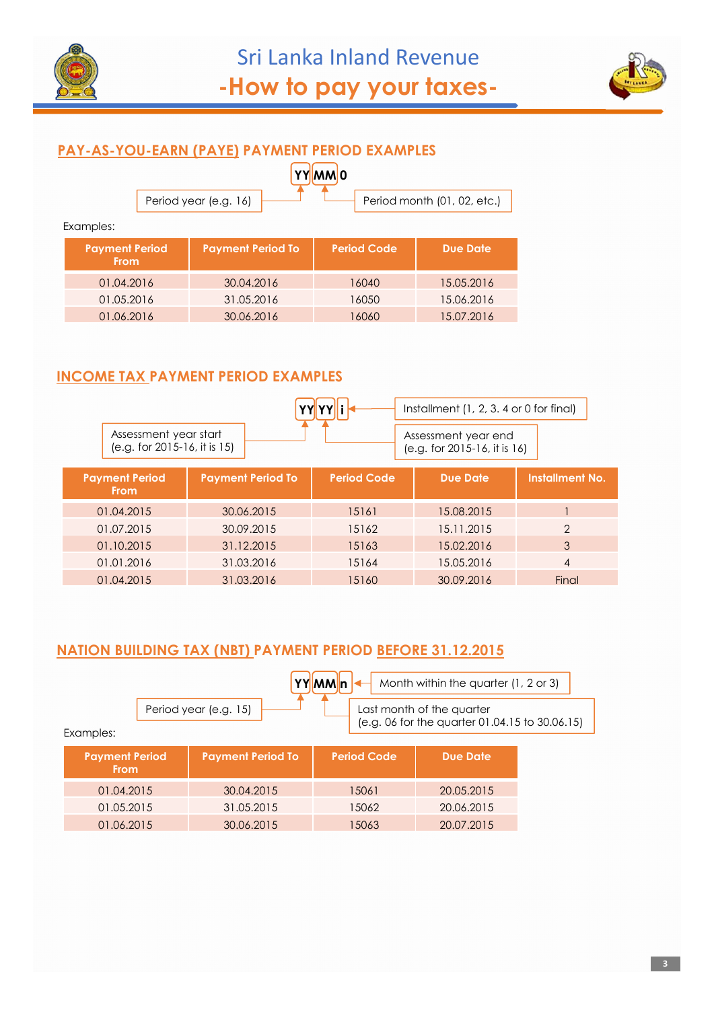



### **PAY-AS-YOU-EARN (PAYE) PAYMENT PERIOD EXAMPLES**

|                       | <u> YYMMO</u> |                             |
|-----------------------|---------------|-----------------------------|
| Period year (e.g. 16) |               | Period month (01, 02, etc.) |

Examples:

| <b>Payment Period</b><br><b>From</b> | <b>Payment Period To</b> | <b>Period Code</b> | <b>Due Date</b> |
|--------------------------------------|--------------------------|--------------------|-----------------|
| 01.04.2016                           | 30.04.2016               | 16040              | 15.05.2016      |
| 01.05.2016                           | 31.05.2016               | 16050              | 15.06.2016      |
| 01.06.2016                           | 30.06.2016               | 16060              | 15.07.2016      |

## **INCOME TAX PAYMENT PERIOD EXAMPLES**

|                                                         |                          |                                                       | Installment (1, 2, 3, 4 or 0 for final) |                        |
|---------------------------------------------------------|--------------------------|-------------------------------------------------------|-----------------------------------------|------------------------|
| Assessment year start<br>$(e.g. for 2015-16, it is 15)$ |                          | Assessment year end<br>$(e.g. for 2015-16, it is 16)$ |                                         |                        |
| <b>Payment Period</b><br><b>From</b>                    | <b>Payment Period To</b> | <b>Period Code</b>                                    | <b>Due Date</b>                         | <b>Installment No.</b> |
| 01.04.2015                                              | 30.06.2015               | 15161                                                 | 15.08.2015                              |                        |
| 01.07.2015                                              | 30.09.2015               | 15162                                                 | 15.11.2015                              | $\mathcal{P}$          |
| 01.10.2015                                              | 31.12.2015               | 15163                                                 | 15.02.2016                              | 3                      |
| 01.01.2016                                              | 31.03.2016               | 15164                                                 | 15.05.2016                              | $\overline{4}$         |
| 01.04.2015                                              | 31.03.2016               | 15160                                                 | 30.09.2016                              | Final                  |

# **NATION BUILDING TAX (NBT) PAYMENT PERIOD BEFORE 31.12.2015**

| YYMMIn<br>Month within the quarter (1, 2 or 3)                                                                    |  |                          |                    |                 |  |  |
|-------------------------------------------------------------------------------------------------------------------|--|--------------------------|--------------------|-----------------|--|--|
| Period year (e.g. 15)<br>Last month of the quarter<br>(e.g. 06 for the quarter 01.04.15 to 30.06.15)<br>Examples: |  |                          |                    |                 |  |  |
| <b>Payment Period</b><br><b>From</b>                                                                              |  | <b>Payment Period To</b> | <b>Period Code</b> | <b>Due Date</b> |  |  |
| 01.04.2015                                                                                                        |  | 30.04.2015               | 15061              | 20.05.2015      |  |  |
| 01.05.2015                                                                                                        |  | 31.05.2015               | 15062              | 20.06.2015      |  |  |
| 01.06.2015                                                                                                        |  | 30.06.2015               | 15063              | 20.07.2015      |  |  |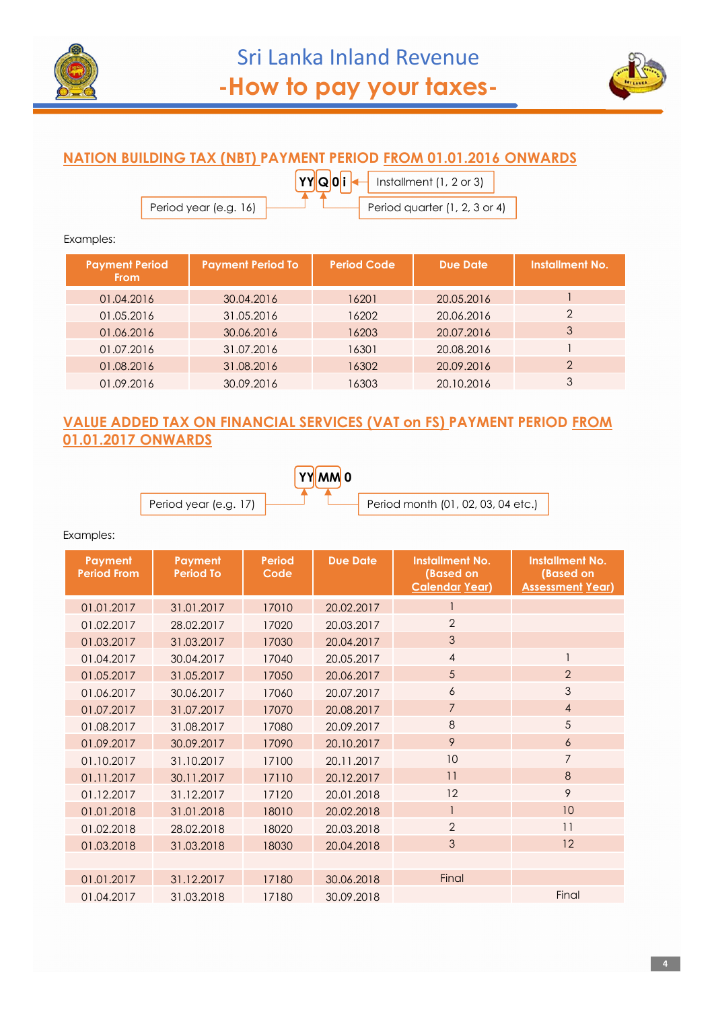



## **NATION BUILDING TAX (NBT) PAYMENT PERIOD FROM 01.01.2016 ONWARDS**

**YY Q 0 i** Period year (e.g. 16)  $\begin{array}{|c|c|c|c|c|}\n\hline\n\end{array}$  Period quarter (1, 2, 3 or 4) Installment (1, 2 or 3)

Examples:

| <b>Payment Period</b><br><b>From</b> | <b>Payment Period To</b> | <b>Period Code</b> | <b>Due Date</b> | <b>Installment No.</b> |
|--------------------------------------|--------------------------|--------------------|-----------------|------------------------|
| 01.04.2016                           | 30.04.2016               | 16201              | 20.05.2016      |                        |
| 01.05.2016                           | 31.05.2016               | 16202              | 20.06.2016      | $\mathfrak{D}$         |
| 01.06.2016                           | 30.06.2016               | 16203              | 20.07.2016      | 3                      |
| 01.07.2016                           | 31.07.2016               | 16301              | 20.08.2016      |                        |
| 01.08.2016                           | 31.08.2016               | 16302              | 20.09.2016      | $\mathcal{P}$          |
| 01.09.2016                           | 30.09.2016               | 16303              | 20.10.2016      | 3                      |

#### **VALUE ADDED TAX ON FINANCIAL SERVICES (VAT on FS) PAYMENT PERIOD FROM 01.01.2017 ONWARDS**



Examples:

| Payment<br><b>Period From</b> | <b>Payment</b><br><b>Period To</b> | <b>Period</b><br>Code | <b>Due Date</b> | <b>Installment No.</b><br>(Based on<br><b>Calendar Year)</b> | <b>Installment No.</b><br>(Based on<br><b>Assessment Year)</b> |
|-------------------------------|------------------------------------|-----------------------|-----------------|--------------------------------------------------------------|----------------------------------------------------------------|
| 01.01.2017                    | 31.01.2017                         | 17010                 | 20.02.2017      | $\mathbf{1}$                                                 |                                                                |
| 01.02.2017                    | 28.02.2017                         | 17020                 | 20.03.2017      | $\overline{2}$                                               |                                                                |
| 01.03.2017                    | 31.03.2017                         | 17030                 | 20.04.2017      | 3                                                            |                                                                |
| 01.04.2017                    | 30.04.2017                         | 17040                 | 20.05.2017      | $\overline{4}$                                               |                                                                |
| 01.05.2017                    | 31.05.2017                         | 17050                 | 20.06.2017      | 5                                                            | $\overline{2}$                                                 |
| 01.06.2017                    | 30.06.2017                         | 17060                 | 20.07.2017      | 6                                                            | 3                                                              |
| 01.07.2017                    | 31.07.2017                         | 17070                 | 20.08.2017      | $\overline{7}$                                               | $\overline{4}$                                                 |
| 01.08.2017                    | 31.08.2017                         | 17080                 | 20.09.2017      | $\,8\,$                                                      | 5                                                              |
| 01.09.2017                    | 30.09.2017                         | 17090                 | 20.10.2017      | 9                                                            | 6                                                              |
| 01.10.2017                    | 31.10.2017                         | 17100                 | 20.11.2017      | 10                                                           | $\overline{7}$                                                 |
| 01.11.2017                    | 30.11.2017                         | 17110                 | 20.12.2017      | 11                                                           | 8                                                              |
| 01.12.2017                    | 31.12.2017                         | 17120                 | 20.01.2018      | 12                                                           | 9                                                              |
| 01.01.2018                    | 31.01.2018                         | 18010                 | 20.02.2018      | $\overline{1}$                                               | 10                                                             |
| 01.02.2018                    | 28.02.2018                         | 18020                 | 20.03.2018      | $\overline{2}$                                               | 11                                                             |
| 01.03.2018                    | 31.03.2018                         | 18030                 | 20.04.2018      | 3                                                            | 12                                                             |
|                               |                                    |                       |                 |                                                              |                                                                |
| 01.01.2017                    | 31.12.2017                         | 17180                 | 30.06.2018      | Final                                                        |                                                                |
| 01.04.2017                    | 31.03.2018                         | 17180                 | 30.09.2018      |                                                              | Final                                                          |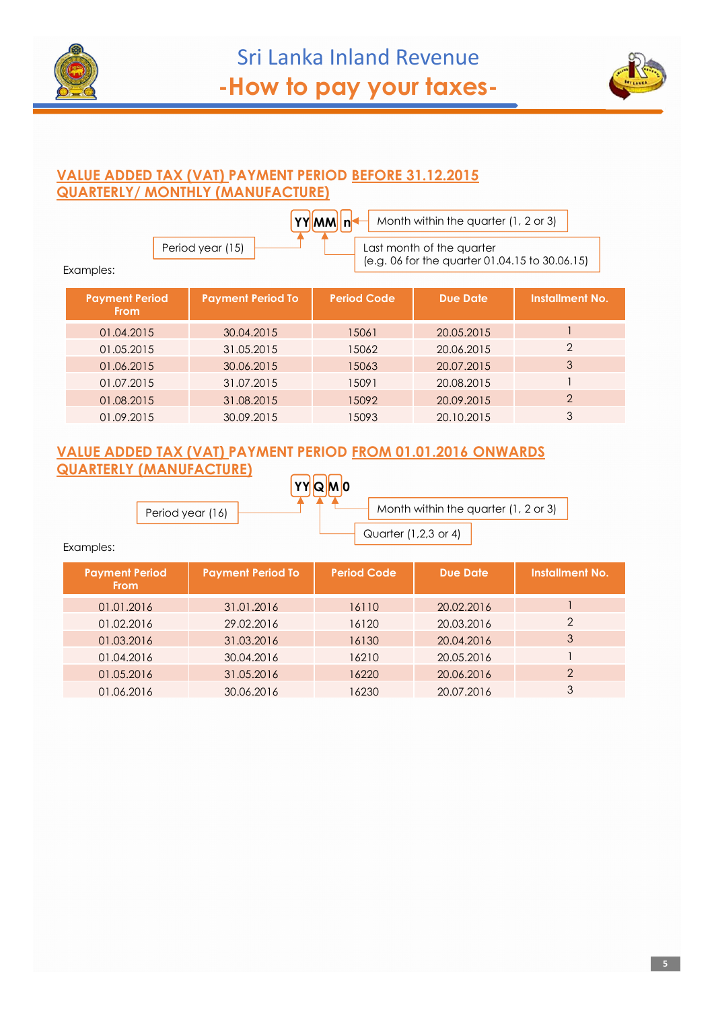



#### **VALUE ADDED TAX (VAT) PAYMENT PERIOD BEFORE 31.12.2015 QUARTERLY/ MONTHLY (MANUFACTURE)**

|           |                  | <b>YYMMInt</b> | Month within the quarter (1, 2 or 3)           |
|-----------|------------------|----------------|------------------------------------------------|
|           | Period year (15) |                | Last month of the quarter                      |
| Examples: |                  |                | (e.g. 06 for the quarter 01.04.15 to 30.06.15) |

| <b>Payment Period</b><br><b>From</b> | <b>Payment Period To</b> | <b>Period Code</b> | <b>Due Date</b> | <b>Installment No.</b> |
|--------------------------------------|--------------------------|--------------------|-----------------|------------------------|
| 01.04.2015                           | 30.04.2015               | 15061              | 20.05.2015      |                        |
| 01.05.2015                           | 31.05.2015               | 15062              | 20.06.2015      | $\mathfrak{D}$         |
| 01.06.2015                           | 30.06.2015               | 15063              | 20.07.2015      | 3                      |
| 01.07.2015                           | 31.07.2015               | 15091              | 20.08.2015      |                        |
| 01.08.2015                           | 31.08.2015               | 15092              | 20.09.2015      | $\mathcal{P}$          |
| 01.09.2015                           | 30.09.2015               | 5093               | 20.10.2015      | 3                      |

#### **VALUE ADDED TAX (VAT) PAYMENT PERIOD FROM 01.01.2016 ONWARDS QUARTERLY (MANUFACTURE)** רורו

|                  | YYQM0 |                                      |  |
|------------------|-------|--------------------------------------|--|
| Period year (16) |       | Month within the quarter (1, 2 or 3) |  |
|                  |       | Quarter (1,2,3 or 4)                 |  |

Examples:

| <b>Payment Period</b><br><b>From</b> | <b>Payment Period To</b> | <b>Period Code</b> | <b>Due Date</b> | <b>Installment No.</b> |
|--------------------------------------|--------------------------|--------------------|-----------------|------------------------|
| 01.01.2016                           | 31.01.2016               | 16110              | 20.02.2016      |                        |
| 01.02.2016                           | 29.02.2016               | 16120              | 20.03.2016      | $\mathcal{P}$          |
| 01.03.2016                           | 31.03.2016               | 16130              | 20.04.2016      | 3                      |
| 01.04.2016                           | 30.04.2016               | 16210              | 20.05.2016      |                        |
| 01.05.2016                           | 31.05.2016               | 16220              | 20.06.2016      | $\mathcal{P}$          |
| 01.06.2016                           | 30.06.2016               | 16230              | 20.07.2016      | 3                      |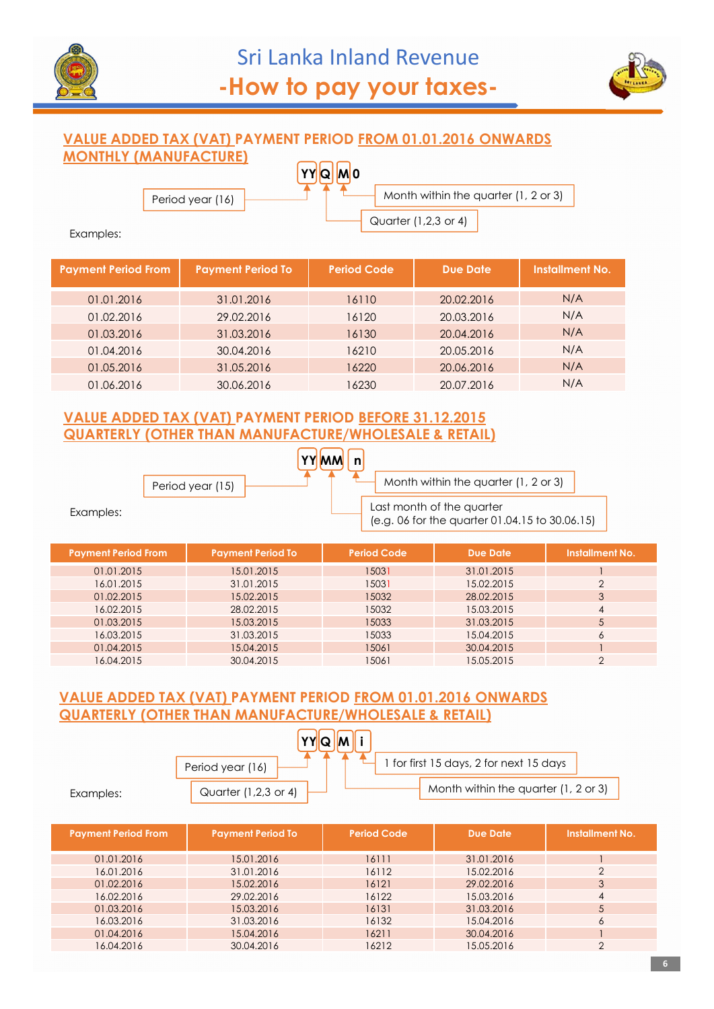



#### **VALUE ADDED TAX (VAT) PAYMENT PERIOD FROM 01.01.2016 ONWARDS MONTHLY (MANUFACTURE) YY Q M 0**

Period year (16)

Month within the quarter (1, 2 or 3)

Quarter (1,2,3 or 4)

Examples:

| <b>Payment Period From</b> | <b>Payment Period To</b> | <b>Period Code</b> | <b>Due Date</b> | <b>Installment No.</b> |
|----------------------------|--------------------------|--------------------|-----------------|------------------------|
| 01.01.2016                 | 31.01.2016               | 16110              | 20.02.2016      | N/A                    |
| 01.02.2016                 | 29.02.2016               | 16120              | 20.03.2016      | N/A                    |
| 01.03.2016                 | 31.03.2016               | 16130              | 20.04.2016      | N/A                    |
| 01.04.2016                 | 30.04.2016               | 16210              | 20.05.2016      | N/A                    |
| 01.05.2016                 | 31.05.2016               | 16220              | 20.06.2016      | N/A                    |
| 01.06.2016                 | 30.06.2016               | 16230              | 20.07.2016      | N/A                    |

#### **VALUE ADDED TAX (VAT) PAYMENT PERIOD BEFORE 31.12.2015 QUARTERLY (OTHER THAN MANUFACTURE/WHOLESALE & RETAIL)**

|           | Period year (15) |  | Month within the quarter (1, 2 or 3)                                        |  |
|-----------|------------------|--|-----------------------------------------------------------------------------|--|
| Examples: |                  |  | Last month of the quarter<br>(e.g. 06 for the quarter 01.04.15 to 30.06.15) |  |

| <b>Payment Period From</b> | <b>Payment Period To</b> | <b>Period Code</b> | <b>Due Date</b> | <b>Installment No.</b> |
|----------------------------|--------------------------|--------------------|-----------------|------------------------|
| 01.01.2015                 | 15.01.2015               | 15031              | 31.01.2015      |                        |
| 16.01.2015                 | 31.01.2015               | 15031              | 15.02.2015      |                        |
| 01.02.2015                 | 15.02.2015               | 15032              | 28.02.2015      | 3                      |
| 16.02.2015                 | 28.02.2015               | 15032              | 15.03.2015      | 4                      |
| 01.03.2015                 | 15.03.2015               | 15033              | 31.03.2015      | 5                      |
| 16.03.2015                 | 31.03.2015               | 15033              | 15.04.2015      | 6                      |
| 01.04.2015                 | 15.04.2015               | 15061              | 30.04.2015      |                        |
| 16.04.2015                 | 30.04.2015               | 15061              | 15.05.2015      | ◠                      |

#### **VALUE ADDED TAX (VAT) PAYMENT PERIOD FROM 01.01.2016 ONWARDS QUARTERLY (OTHER THAN MANUFACTURE/WHOLESALE & RETAIL)**

|           | $\mathbf{v}$         |                                         |
|-----------|----------------------|-----------------------------------------|
|           | Period year (16)     | 1 for first 15 days, 2 for next 15 days |
| Examples: | Quarter (1,2,3 or 4) | Month within the quarter (1, 2 or 3)    |

| <b>Payment Period To</b> | <b>Period Code</b> | <b>Due Date</b> | <b>Installment No.</b> |
|--------------------------|--------------------|-----------------|------------------------|
| 15.01.2016               | 16111              | 31.01.2016      |                        |
| 31.01.2016               | 16112              | 15.02.2016      | $\mathcal{P}$          |
| 15.02.2016               | 16121              | 29.02.2016      |                        |
| 29.02.2016               | 16122              | 15.03.2016      | 4                      |
| 15.03.2016               | 16131              | 31.03.2016      |                        |
| 31.03.2016               | 16132              | 15.04.2016      | 6                      |
| 15.04.2016               | 16211              | 30.04.2016      |                        |
| 30.04.2016               | 16212              | 15.05.2016      |                        |
|                          |                    |                 |                        |